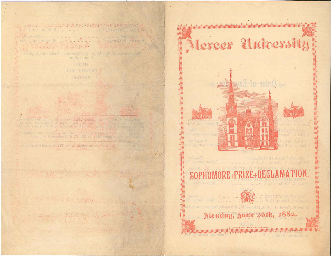